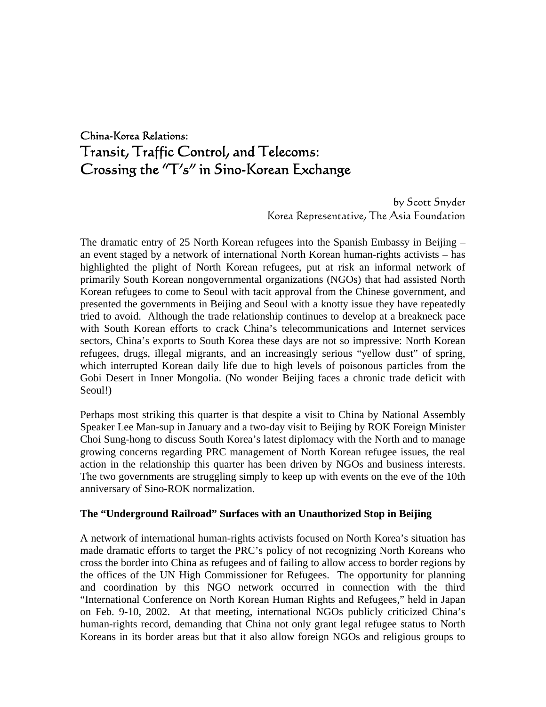# China-Korea Relations: Transit, Traffic Control, and Telecoms: Crossing the "T's" in Sino-Korean Exchange

 by Scott Snyder Korea Representative, The Asia Foundation

The dramatic entry of 25 North Korean refugees into the Spanish Embassy in Beijing – an event staged by a network of international North Korean human-rights activists – has highlighted the plight of North Korean refugees, put at risk an informal network of primarily South Korean nongovernmental organizations (NGOs) that had assisted North Korean refugees to come to Seoul with tacit approval from the Chinese government, and presented the governments in Beijing and Seoul with a knotty issue they have repeatedly tried to avoid. Although the trade relationship continues to develop at a breakneck pace with South Korean efforts to crack China's telecommunications and Internet services sectors, China's exports to South Korea these days are not so impressive: North Korean refugees, drugs, illegal migrants, and an increasingly serious "yellow dust" of spring, which interrupted Korean daily life due to high levels of poisonous particles from the Gobi Desert in Inner Mongolia. (No wonder Beijing faces a chronic trade deficit with Seoul!)

Perhaps most striking this quarter is that despite a visit to China by National Assembly Speaker Lee Man-sup in January and a two-day visit to Beijing by ROK Foreign Minister Choi Sung-hong to discuss South Korea's latest diplomacy with the North and to manage growing concerns regarding PRC management of North Korean refugee issues, the real action in the relationship this quarter has been driven by NGOs and business interests. The two governments are struggling simply to keep up with events on the eve of the 10th anniversary of Sino-ROK normalization.

### **The "Underground Railroad" Surfaces with an Unauthorized Stop in Beijing**

A network of international human-rights activists focused on North Korea's situation has made dramatic efforts to target the PRC's policy of not recognizing North Koreans who cross the border into China as refugees and of failing to allow access to border regions by the offices of the UN High Commissioner for Refugees. The opportunity for planning and coordination by this NGO network occurred in connection with the third "International Conference on North Korean Human Rights and Refugees," held in Japan on Feb. 9-10, 2002. At that meeting, international NGOs publicly criticized China's human-rights record, demanding that China not only grant legal refugee status to North Koreans in its border areas but that it also allow foreign NGOs and religious groups to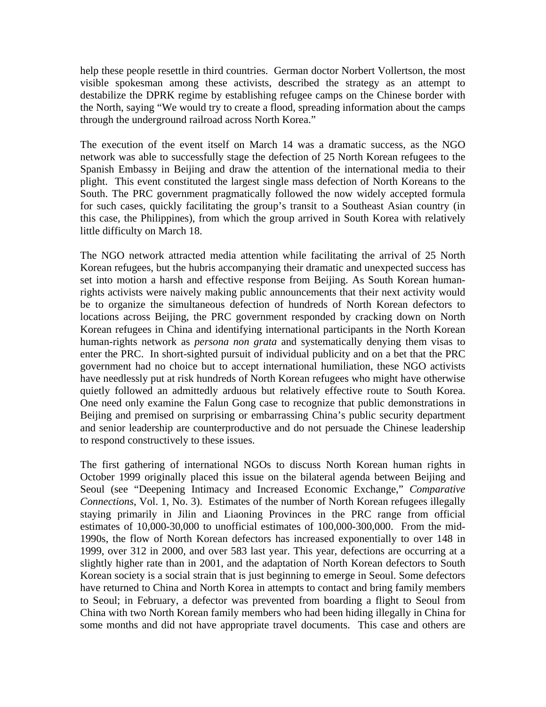help these people resettle in third countries. German doctor Norbert Vollertson, the most visible spokesman among these activists, described the strategy as an attempt to destabilize the DPRK regime by establishing refugee camps on the Chinese border with the North, saying "We would try to create a flood, spreading information about the camps through the underground railroad across North Korea."

The execution of the event itself on March 14 was a dramatic success, as the NGO network was able to successfully stage the defection of 25 North Korean refugees to the Spanish Embassy in Beijing and draw the attention of the international media to their plight. This event constituted the largest single mass defection of North Koreans to the South. The PRC government pragmatically followed the now widely accepted formula for such cases, quickly facilitating the group's transit to a Southeast Asian country (in this case, the Philippines), from which the group arrived in South Korea with relatively little difficulty on March 18.

The NGO network attracted media attention while facilitating the arrival of 25 North Korean refugees, but the hubris accompanying their dramatic and unexpected success has set into motion a harsh and effective response from Beijing. As South Korean humanrights activists were naively making public announcements that their next activity would be to organize the simultaneous defection of hundreds of North Korean defectors to locations across Beijing, the PRC government responded by cracking down on North Korean refugees in China and identifying international participants in the North Korean human-rights network as *persona non grata* and systematically denying them visas to enter the PRC. In short-sighted pursuit of individual publicity and on a bet that the PRC government had no choice but to accept international humiliation, these NGO activists have needlessly put at risk hundreds of North Korean refugees who might have otherwise quietly followed an admittedly arduous but relatively effective route to South Korea. One need only examine the Falun Gong case to recognize that public demonstrations in Beijing and premised on surprising or embarrassing China's public security department and senior leadership are counterproductive and do not persuade the Chinese leadership to respond constructively to these issues.

The first gathering of international NGOs to discuss North Korean human rights in October 1999 originally placed this issue on the bilateral agenda between Beijing and Seoul (see "Deepening Intimacy and Increased Economic Exchange," *Comparative Connections*, Vol. 1, No. 3). Estimates of the number of North Korean refugees illegally staying primarily in Jilin and Liaoning Provinces in the PRC range from official estimates of 10,000-30,000 to unofficial estimates of 100,000-300,000. From the mid-1990s, the flow of North Korean defectors has increased exponentially to over 148 in 1999, over 312 in 2000, and over 583 last year. This year, defections are occurring at a slightly higher rate than in 2001, and the adaptation of North Korean defectors to South Korean society is a social strain that is just beginning to emerge in Seoul. Some defectors have returned to China and North Korea in attempts to contact and bring family members to Seoul; in February, a defector was prevented from boarding a flight to Seoul from China with two North Korean family members who had been hiding illegally in China for some months and did not have appropriate travel documents. This case and others are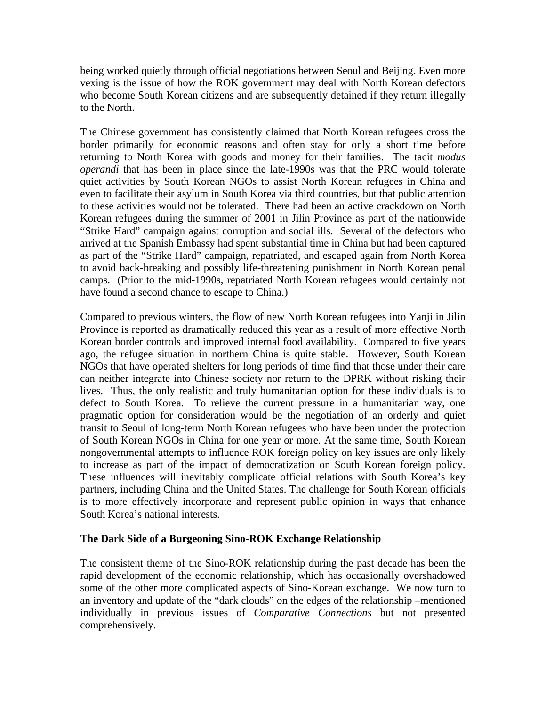being worked quietly through official negotiations between Seoul and Beijing. Even more vexing is the issue of how the ROK government may deal with North Korean defectors who become South Korean citizens and are subsequently detained if they return illegally to the North.

The Chinese government has consistently claimed that North Korean refugees cross the border primarily for economic reasons and often stay for only a short time before returning to North Korea with goods and money for their families. The tacit *modus operandi* that has been in place since the late-1990s was that the PRC would tolerate quiet activities by South Korean NGOs to assist North Korean refugees in China and even to facilitate their asylum in South Korea via third countries, but that public attention to these activities would not be tolerated. There had been an active crackdown on North Korean refugees during the summer of 2001 in Jilin Province as part of the nationwide "Strike Hard" campaign against corruption and social ills. Several of the defectors who arrived at the Spanish Embassy had spent substantial time in China but had been captured as part of the "Strike Hard" campaign, repatriated, and escaped again from North Korea to avoid back-breaking and possibly life-threatening punishment in North Korean penal camps. (Prior to the mid-1990s, repatriated North Korean refugees would certainly not have found a second chance to escape to China.)

Compared to previous winters, the flow of new North Korean refugees into Yanji in Jilin Province is reported as dramatically reduced this year as a result of more effective North Korean border controls and improved internal food availability. Compared to five years ago, the refugee situation in northern China is quite stable. However, South Korean NGOs that have operated shelters for long periods of time find that those under their care can neither integrate into Chinese society nor return to the DPRK without risking their lives. Thus, the only realistic and truly humanitarian option for these individuals is to defect to South Korea. To relieve the current pressure in a humanitarian way, one pragmatic option for consideration would be the negotiation of an orderly and quiet transit to Seoul of long-term North Korean refugees who have been under the protection of South Korean NGOs in China for one year or more. At the same time, South Korean nongovernmental attempts to influence ROK foreign policy on key issues are only likely to increase as part of the impact of democratization on South Korean foreign policy. These influences will inevitably complicate official relations with South Korea's key partners, including China and the United States. The challenge for South Korean officials is to more effectively incorporate and represent public opinion in ways that enhance South Korea's national interests.

## **The Dark Side of a Burgeoning Sino-ROK Exchange Relationship**

The consistent theme of the Sino-ROK relationship during the past decade has been the rapid development of the economic relationship, which has occasionally overshadowed some of the other more complicated aspects of Sino-Korean exchange. We now turn to an inventory and update of the "dark clouds" on the edges of the relationship –mentioned individually in previous issues of *Comparative Connections* but not presented comprehensively.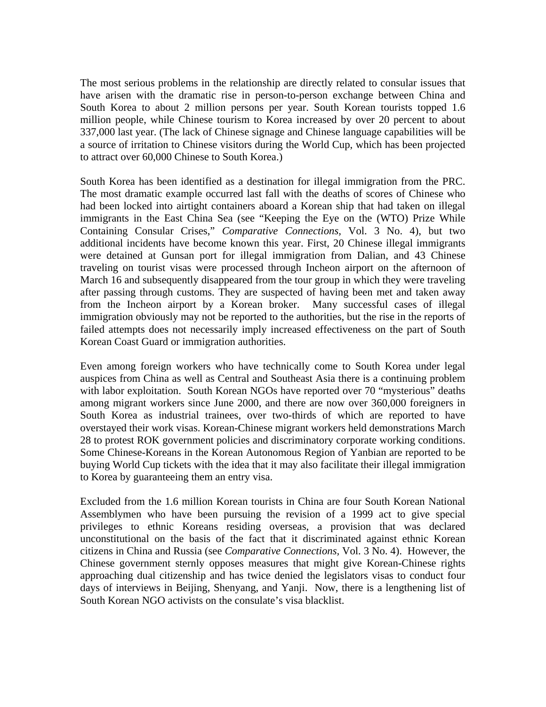The most serious problems in the relationship are directly related to consular issues that have arisen with the dramatic rise in person-to-person exchange between China and South Korea to about 2 million persons per year. South Korean tourists topped 1.6 million people, while Chinese tourism to Korea increased by over 20 percent to about 337,000 last year. (The lack of Chinese signage and Chinese language capabilities will be a source of irritation to Chinese visitors during the World Cup, which has been projected to attract over 60,000 Chinese to South Korea.)

South Korea has been identified as a destination for illegal immigration from the PRC. The most dramatic example occurred last fall with the deaths of scores of Chinese who had been locked into airtight containers aboard a Korean ship that had taken on illegal immigrants in the East China Sea (see "Keeping the Eye on the (WTO) Prize While Containing Consular Crises," *Comparative Connections,* Vol. 3 No. 4), but two additional incidents have become known this year. First, 20 Chinese illegal immigrants were detained at Gunsan port for illegal immigration from Dalian, and 43 Chinese traveling on tourist visas were processed through Incheon airport on the afternoon of March 16 and subsequently disappeared from the tour group in which they were traveling after passing through customs. They are suspected of having been met and taken away from the Incheon airport by a Korean broker. Many successful cases of illegal immigration obviously may not be reported to the authorities, but the rise in the reports of failed attempts does not necessarily imply increased effectiveness on the part of South Korean Coast Guard or immigration authorities.

Even among foreign workers who have technically come to South Korea under legal auspices from China as well as Central and Southeast Asia there is a continuing problem with labor exploitation. South Korean NGOs have reported over 70 "mysterious" deaths among migrant workers since June 2000, and there are now over 360,000 foreigners in South Korea as industrial trainees, over two-thirds of which are reported to have overstayed their work visas. Korean-Chinese migrant workers held demonstrations March 28 to protest ROK government policies and discriminatory corporate working conditions. Some Chinese-Koreans in the Korean Autonomous Region of Yanbian are reported to be buying World Cup tickets with the idea that it may also facilitate their illegal immigration to Korea by guaranteeing them an entry visa.

Excluded from the 1.6 million Korean tourists in China are four South Korean National Assemblymen who have been pursuing the revision of a 1999 act to give special privileges to ethnic Koreans residing overseas, a provision that was declared unconstitutional on the basis of the fact that it discriminated against ethnic Korean citizens in China and Russia (see *Comparative Connections,* Vol. 3 No. 4). However, the Chinese government sternly opposes measures that might give Korean-Chinese rights approaching dual citizenship and has twice denied the legislators visas to conduct four days of interviews in Beijing, Shenyang, and Yanji. Now, there is a lengthening list of South Korean NGO activists on the consulate's visa blacklist.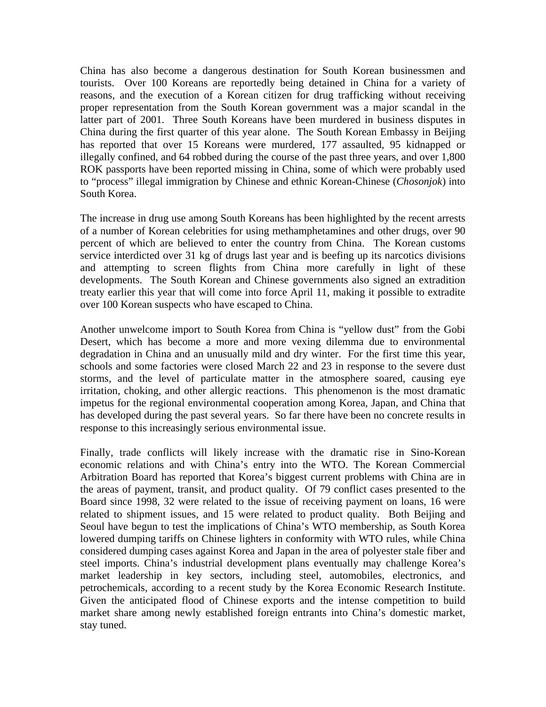China has also become a dangerous destination for South Korean businessmen and tourists. Over 100 Koreans are reportedly being detained in China for a variety of reasons, and the execution of a Korean citizen for drug trafficking without receiving proper representation from the South Korean government was a major scandal in the latter part of 2001. Three South Koreans have been murdered in business disputes in China during the first quarter of this year alone. The South Korean Embassy in Beijing has reported that over 15 Koreans were murdered, 177 assaulted, 95 kidnapped or illegally confined, and 64 robbed during the course of the past three years, and over 1,800 ROK passports have been reported missing in China, some of which were probably used to "process" illegal immigration by Chinese and ethnic Korean-Chinese (*Chosonjok*) into South Korea.

The increase in drug use among South Koreans has been highlighted by the recent arrests of a number of Korean celebrities for using methamphetamines and other drugs, over 90 percent of which are believed to enter the country from China. The Korean customs service interdicted over 31 kg of drugs last year and is beefing up its narcotics divisions and attempting to screen flights from China more carefully in light of these developments. The South Korean and Chinese governments also signed an extradition treaty earlier this year that will come into force April 11, making it possible to extradite over 100 Korean suspects who have escaped to China.

Another unwelcome import to South Korea from China is "yellow dust" from the Gobi Desert, which has become a more and more vexing dilemma due to environmental degradation in China and an unusually mild and dry winter. For the first time this year, schools and some factories were closed March 22 and 23 in response to the severe dust storms, and the level of particulate matter in the atmosphere soared, causing eye irritation, choking, and other allergic reactions. This phenomenon is the most dramatic impetus for the regional environmental cooperation among Korea, Japan, and China that has developed during the past several years. So far there have been no concrete results in response to this increasingly serious environmental issue.

Finally, trade conflicts will likely increase with the dramatic rise in Sino-Korean economic relations and with China's entry into the WTO. The Korean Commercial Arbitration Board has reported that Korea's biggest current problems with China are in the areas of payment, transit, and product quality. Of 79 conflict cases presented to the Board since 1998, 32 were related to the issue of receiving payment on loans, 16 were related to shipment issues, and 15 were related to product quality. Both Beijing and Seoul have begun to test the implications of China's WTO membership, as South Korea lowered dumping tariffs on Chinese lighters in conformity with WTO rules, while China considered dumping cases against Korea and Japan in the area of polyester stale fiber and steel imports. China's industrial development plans eventually may challenge Korea's market leadership in key sectors, including steel, automobiles, electronics, and petrochemicals, according to a recent study by the Korea Economic Research Institute. Given the anticipated flood of Chinese exports and the intense competition to build market share among newly established foreign entrants into China's domestic market, stay tuned.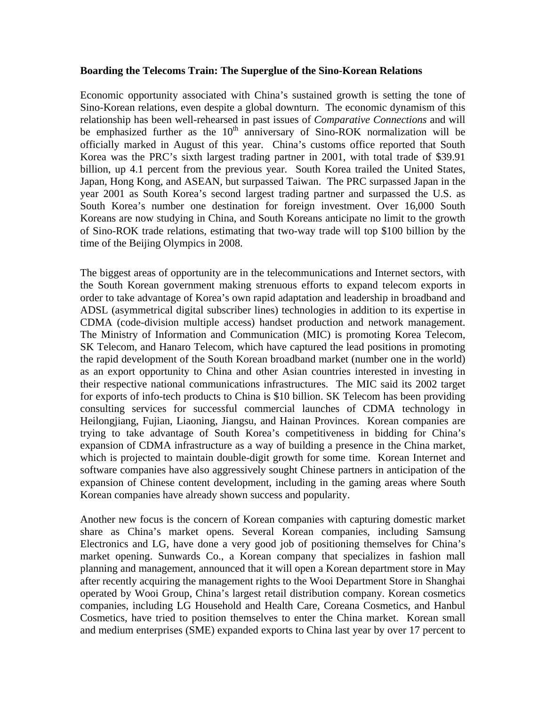#### **Boarding the Telecoms Train: The Superglue of the Sino-Korean Relations**

Economic opportunity associated with China's sustained growth is setting the tone of Sino-Korean relations, even despite a global downturn. The economic dynamism of this relationship has been well-rehearsed in past issues of *Comparative Connections* and will be emphasized further as the  $10<sup>th</sup>$  anniversary of Sino-ROK normalization will be officially marked in August of this year. China's customs office reported that South Korea was the PRC's sixth largest trading partner in 2001, with total trade of \$39.91 billion, up 4.1 percent from the previous year. South Korea trailed the United States, Japan, Hong Kong, and ASEAN, but surpassed Taiwan. The PRC surpassed Japan in the year 2001 as South Korea's second largest trading partner and surpassed the U.S. as South Korea's number one destination for foreign investment. Over 16,000 South Koreans are now studying in China, and South Koreans anticipate no limit to the growth of Sino-ROK trade relations, estimating that two-way trade will top \$100 billion by the time of the Beijing Olympics in 2008.

The biggest areas of opportunity are in the telecommunications and Internet sectors, with the South Korean government making strenuous efforts to expand telecom exports in order to take advantage of Korea's own rapid adaptation and leadership in broadband and ADSL (asymmetrical digital subscriber lines) technologies in addition to its expertise in CDMA (code-division multiple access) handset production and network management. The Ministry of Information and Communication (MIC) is promoting Korea Telecom, SK Telecom, and Hanaro Telecom, which have captured the lead positions in promoting the rapid development of the South Korean broadband market (number one in the world) as an export opportunity to China and other Asian countries interested in investing in their respective national communications infrastructures. The MIC said its 2002 target for exports of info-tech products to China is \$10 billion. SK Telecom has been providing consulting services for successful commercial launches of CDMA technology in Heilongjiang, Fujian, Liaoning, Jiangsu, and Hainan Provinces. Korean companies are trying to take advantage of South Korea's competitiveness in bidding for China's expansion of CDMA infrastructure as a way of building a presence in the China market, which is projected to maintain double-digit growth for some time. Korean Internet and software companies have also aggressively sought Chinese partners in anticipation of the expansion of Chinese content development, including in the gaming areas where South Korean companies have already shown success and popularity.

Another new focus is the concern of Korean companies with capturing domestic market share as China's market opens. Several Korean companies, including Samsung Electronics and LG, have done a very good job of positioning themselves for China's market opening. Sunwards Co., a Korean company that specializes in fashion mall planning and management, announced that it will open a Korean department store in May after recently acquiring the management rights to the Wooi Department Store in Shanghai operated by Wooi Group, China's largest retail distribution company. Korean cosmetics companies, including LG Household and Health Care, Coreana Cosmetics, and Hanbul Cosmetics, have tried to position themselves to enter the China market. Korean small and medium enterprises (SME) expanded exports to China last year by over 17 percent to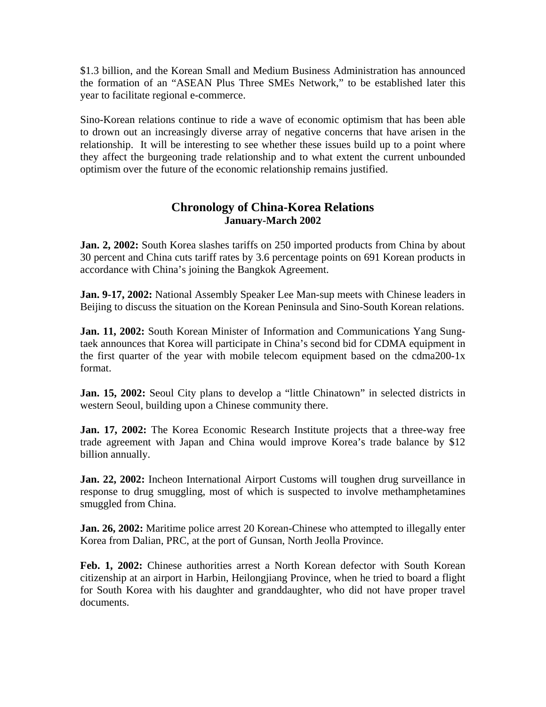\$1.3 billion, and the Korean Small and Medium Business Administration has announced the formation of an "ASEAN Plus Three SMEs Network," to be established later this year to facilitate regional e-commerce.

Sino-Korean relations continue to ride a wave of economic optimism that has been able to drown out an increasingly diverse array of negative concerns that have arisen in the relationship. It will be interesting to see whether these issues build up to a point where they affect the burgeoning trade relationship and to what extent the current unbounded optimism over the future of the economic relationship remains justified.

## **Chronology of China-Korea Relations January-March 2002**

**Jan. 2, 2002:** South Korea slashes tariffs on 250 imported products from China by about 30 percent and China cuts tariff rates by 3.6 percentage points on 691 Korean products in accordance with China's joining the Bangkok Agreement.

**Jan. 9-17, 2002:** National Assembly Speaker Lee Man-sup meets with Chinese leaders in Beijing to discuss the situation on the Korean Peninsula and Sino-South Korean relations.

**Jan. 11, 2002:** South Korean Minister of Information and Communications Yang Sungtaek announces that Korea will participate in China's second bid for CDMA equipment in the first quarter of the year with mobile telecom equipment based on the cdma200-1x format.

**Jan. 15, 2002:** Seoul City plans to develop a "little Chinatown" in selected districts in western Seoul, building upon a Chinese community there.

**Jan. 17, 2002:** The Korea Economic Research Institute projects that a three-way free trade agreement with Japan and China would improve Korea's trade balance by \$12 billion annually.

**Jan. 22, 2002:** Incheon International Airport Customs will toughen drug surveillance in response to drug smuggling, most of which is suspected to involve methamphetamines smuggled from China.

**Jan. 26, 2002:** Maritime police arrest 20 Korean-Chinese who attempted to illegally enter Korea from Dalian, PRC, at the port of Gunsan, North Jeolla Province.

**Feb. 1, 2002:** Chinese authorities arrest a North Korean defector with South Korean citizenship at an airport in Harbin, Heilongjiang Province, when he tried to board a flight for South Korea with his daughter and granddaughter, who did not have proper travel documents.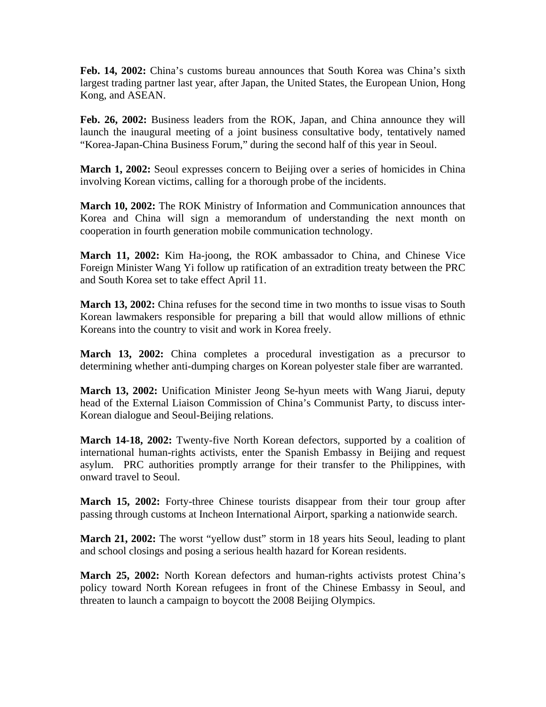**Feb. 14, 2002:** China's customs bureau announces that South Korea was China's sixth largest trading partner last year, after Japan, the United States, the European Union, Hong Kong, and ASEAN.

**Feb. 26, 2002:** Business leaders from the ROK, Japan, and China announce they will launch the inaugural meeting of a joint business consultative body, tentatively named "Korea-Japan-China Business Forum," during the second half of this year in Seoul.

**March 1, 2002:** Seoul expresses concern to Beijing over a series of homicides in China involving Korean victims, calling for a thorough probe of the incidents.

**March 10, 2002:** The ROK Ministry of Information and Communication announces that Korea and China will sign a memorandum of understanding the next month on cooperation in fourth generation mobile communication technology.

**March 11, 2002:** Kim Ha-joong, the ROK ambassador to China, and Chinese Vice Foreign Minister Wang Yi follow up ratification of an extradition treaty between the PRC and South Korea set to take effect April 11.

**March 13, 2002:** China refuses for the second time in two months to issue visas to South Korean lawmakers responsible for preparing a bill that would allow millions of ethnic Koreans into the country to visit and work in Korea freely.

**March 13, 2002:** China completes a procedural investigation as a precursor to determining whether anti-dumping charges on Korean polyester stale fiber are warranted.

**March 13, 2002:** Unification Minister Jeong Se-hyun meets with Wang Jiarui, deputy head of the External Liaison Commission of China's Communist Party, to discuss inter-Korean dialogue and Seoul-Beijing relations.

**March 14-18, 2002:** Twenty-five North Korean defectors, supported by a coalition of international human-rights activists, enter the Spanish Embassy in Beijing and request asylum. PRC authorities promptly arrange for their transfer to the Philippines, with onward travel to Seoul.

**March 15, 2002:** Forty-three Chinese tourists disappear from their tour group after passing through customs at Incheon International Airport, sparking a nationwide search.

**March 21, 2002:** The worst "yellow dust" storm in 18 years hits Seoul, leading to plant and school closings and posing a serious health hazard for Korean residents.

**March 25, 2002:** North Korean defectors and human-rights activists protest China's policy toward North Korean refugees in front of the Chinese Embassy in Seoul, and threaten to launch a campaign to boycott the 2008 Beijing Olympics.